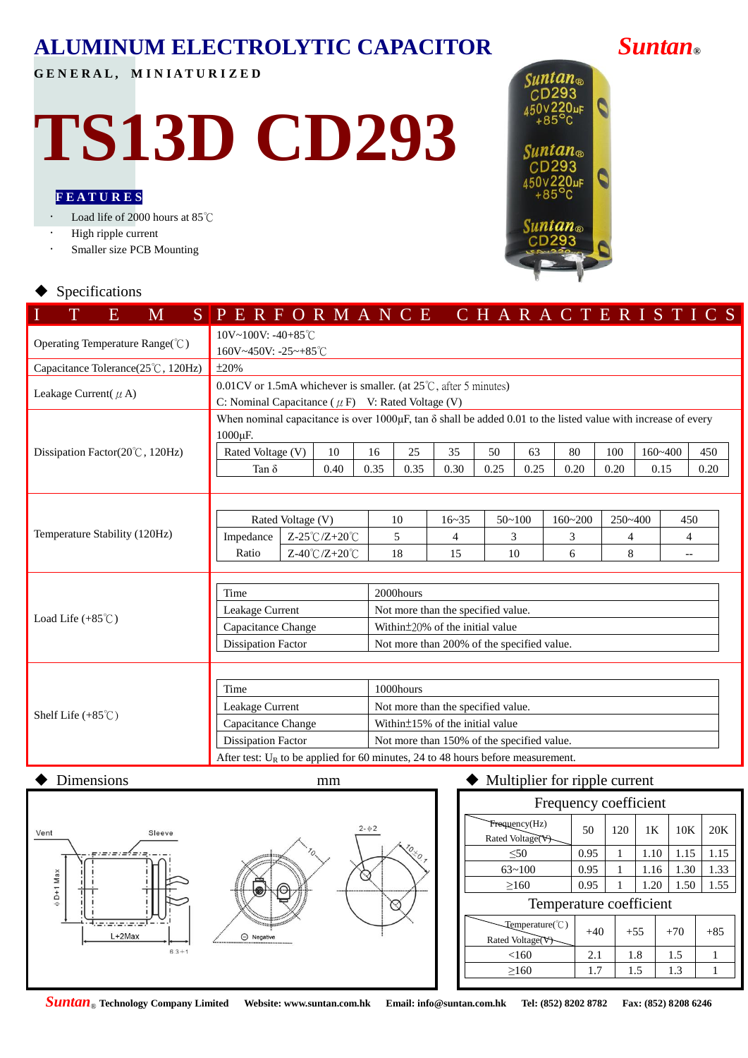## **ALUMINUM ELECTROLYTIC CAPACITOR** *Suntan***®**

**G E N E R A L , M I N I A T U R I Z E D**

# **TS13D CD293**

### **F E A T U R E S**

Load life of 2000 hours at 85℃

- High ripple current
- Smaller size PCB Mounting



#### Specifications

| T<br>E<br>M                                | SPERFORMANCE CHARACTERISTICS                                                                                                                      |  |                                                    |      |                                            |                                            |      |                           |      |      |             |                          |      |  |  |  |
|--------------------------------------------|---------------------------------------------------------------------------------------------------------------------------------------------------|--|----------------------------------------------------|------|--------------------------------------------|--------------------------------------------|------|---------------------------|------|------|-------------|--------------------------|------|--|--|--|
| Operating Temperature Range(°C)            | 10V~100V: -40+85°C<br>160V~450V: -25~+85°C                                                                                                        |  |                                                    |      |                                            |                                            |      |                           |      |      |             |                          |      |  |  |  |
| Capacitance Tolerance(25°C, 120Hz)         | ±20%                                                                                                                                              |  |                                                    |      |                                            |                                            |      |                           |      |      |             |                          |      |  |  |  |
| Leakage Current( $\mu$ A)                  | $0.01$ CV or 1.5mA whichever is smaller. (at $25^{\circ}$ C, after 5 minutes)<br>C: Nominal Capacitance ( $\mu$ F) V: Rated Voltage (V)           |  |                                                    |      |                                            |                                            |      |                           |      |      |             |                          |      |  |  |  |
|                                            | When nominal capacitance is over $1000\mu$ F, tan $\delta$ shall be added 0.01 to the listed value with increase of every<br>1000 <sub>u</sub> F. |  |                                                    |      |                                            |                                            |      |                           |      |      |             |                          |      |  |  |  |
| Dissipation Factor( $20^{\circ}$ C, 120Hz) | Rated Voltage (V)                                                                                                                                 |  | 10                                                 | 16   | 25                                         | 35                                         | 50   | 63                        | 80   | 100  | $160 - 400$ |                          | 450  |  |  |  |
|                                            | Tan $\delta$                                                                                                                                      |  | 0.40                                               | 0.35 | 0.35                                       | 0.30                                       | 0.25 | 0.25                      | 0.20 | 0.20 | 0.15        |                          | 0.20 |  |  |  |
|                                            |                                                                                                                                                   |  |                                                    |      |                                            |                                            |      |                           |      |      |             |                          |      |  |  |  |
|                                            |                                                                                                                                                   |  |                                                    |      |                                            |                                            |      |                           |      |      |             |                          |      |  |  |  |
|                                            | Rated Voltage (V)                                                                                                                                 |  |                                                    |      | 10                                         | $16 - 35$                                  |      | $50 - 100$<br>$160 - 200$ |      |      | 250~400     |                          | 450  |  |  |  |
| Temperature Stability (120Hz)              | Impedance                                                                                                                                         |  | $Z-25^{\circ}\text{C}/\text{Z}+20^{\circ}\text{C}$ |      | 5                                          | $\overline{4}$                             |      | 3                         |      | 4    |             |                          | 4    |  |  |  |
|                                            | Ratio                                                                                                                                             |  | $Z-40^{\circ}C/Z+20^{\circ}C$                      |      | 18                                         | 15                                         | 10   |                           | 6    | 8    |             | $\overline{\phantom{a}}$ |      |  |  |  |
|                                            |                                                                                                                                                   |  |                                                    |      |                                            |                                            |      |                           |      |      |             |                          |      |  |  |  |
|                                            | Time                                                                                                                                              |  |                                                    |      | 2000hours                                  |                                            |      |                           |      |      |             |                          |      |  |  |  |
|                                            | Leakage Current                                                                                                                                   |  |                                                    |      | Not more than the specified value.         |                                            |      |                           |      |      |             |                          |      |  |  |  |
| Load Life $(+85^{\circ}$ C)                | Capacitance Change                                                                                                                                |  |                                                    |      | Within $\pm$ 20% of the initial value      |                                            |      |                           |      |      |             |                          |      |  |  |  |
|                                            | <b>Dissipation Factor</b>                                                                                                                         |  |                                                    |      | Not more than 200% of the specified value. |                                            |      |                           |      |      |             |                          |      |  |  |  |
|                                            |                                                                                                                                                   |  |                                                    |      |                                            |                                            |      |                           |      |      |             |                          |      |  |  |  |
|                                            |                                                                                                                                                   |  |                                                    |      |                                            |                                            |      |                           |      |      |             |                          |      |  |  |  |
|                                            | Time                                                                                                                                              |  |                                                    |      | 1000hours                                  |                                            |      |                           |      |      |             |                          |      |  |  |  |
|                                            | Leakage Current                                                                                                                                   |  |                                                    |      | Not more than the specified value.         |                                            |      |                           |      |      |             |                          |      |  |  |  |
| Shelf Life $(+85^{\circ}$ C)               | Capacitance Change                                                                                                                                |  |                                                    |      | Within $\pm$ 15% of the initial value      |                                            |      |                           |      |      |             |                          |      |  |  |  |
|                                            | <b>Dissipation Factor</b>                                                                                                                         |  |                                                    |      |                                            | Not more than 150% of the specified value. |      |                           |      |      |             |                          |      |  |  |  |
|                                            | After test: $U_R$ to be applied for 60 minutes, 24 to 48 hours before measurement.                                                                |  |                                                    |      |                                            |                                            |      |                           |      |      |             |                          |      |  |  |  |



### $\blacklozenge$  Dimensions mm  $\blacklozenge$  Multiplier for ripple current

| Frequency coefficient                            |       |     |       |       |  |       |  |  |  |  |  |  |
|--------------------------------------------------|-------|-----|-------|-------|--|-------|--|--|--|--|--|--|
| Frequency(Hz)<br>Rated Voltage(V)                | 50    | 120 | 1K    | 10K   |  | 20K   |  |  |  |  |  |  |
| < 50                                             | 0.95  | 1   | 1.10  | 1.15  |  | 1.15  |  |  |  |  |  |  |
| $63 - 100$                                       | 0.95  | 1   | 1.16  | 1.30  |  | 1.33  |  |  |  |  |  |  |
| >160                                             | 0.95  |     | 1.20  | 1.50  |  | 1.55  |  |  |  |  |  |  |
| Temperature coefficient                          |       |     |       |       |  |       |  |  |  |  |  |  |
| $Temperature$ $\mathbb{C}$ )<br>Rated Voltage(V) | $+40$ |     | $+55$ | $+70$ |  | $+85$ |  |  |  |  |  |  |
| <160                                             | 2.1   |     | 1.8   | 1.5   |  | 1     |  |  |  |  |  |  |
| >160                                             | 1.7   |     | 1.5   | 1.3   |  |       |  |  |  |  |  |  |
|                                                  |       |     |       |       |  |       |  |  |  |  |  |  |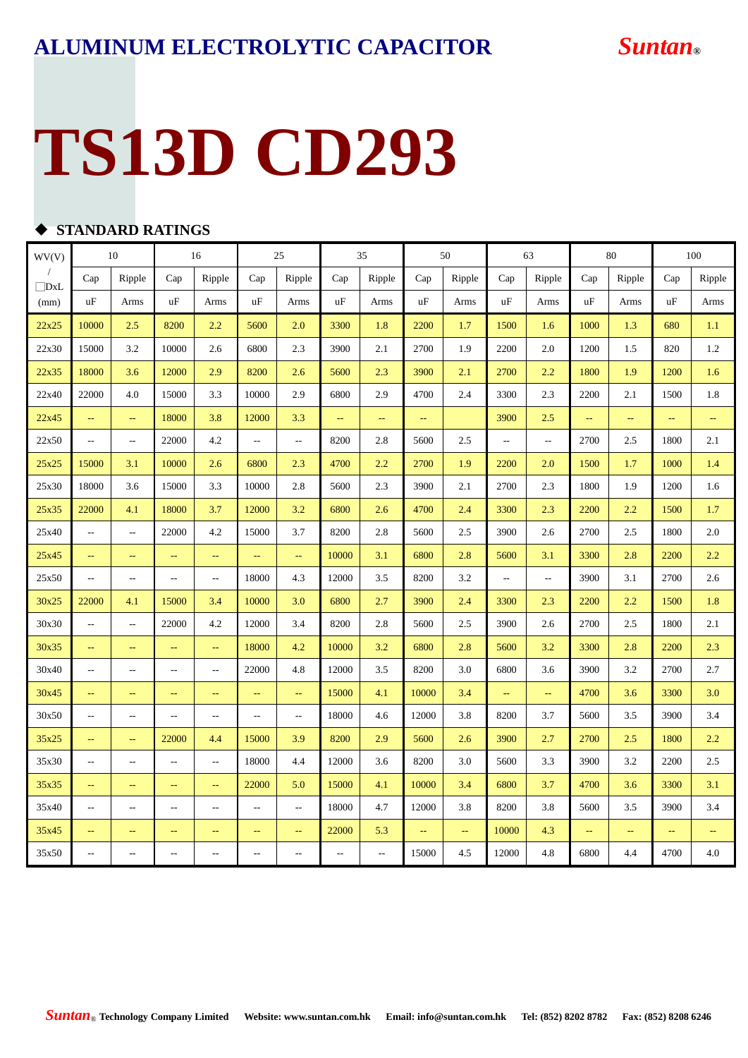## **TS13D CD293**

### **STANDARD RATINGS**

| WV(V)      | 10                        |                          | 16                                            |                          | 25             |                          | 35                       |                          | 50            |        | 63                       |                          | 80            |               | 100  |                           |
|------------|---------------------------|--------------------------|-----------------------------------------------|--------------------------|----------------|--------------------------|--------------------------|--------------------------|---------------|--------|--------------------------|--------------------------|---------------|---------------|------|---------------------------|
| $\Box$ DxL | Cap                       | Ripple                   | Cap                                           | Ripple                   | Cap            | Ripple                   | Cap                      | Ripple                   | Cap           | Ripple | Cap                      | Ripple                   | Cap           | Ripple        | Cap  | Ripple                    |
| (mm)       | uF                        | Arms                     | uF                                            | Arms                     | uF             | Arms                     | uF                       | Arms                     | uF            | Arms   | uF                       | Arms                     | uF            | Arms          | uF   | Arms                      |
| 22x25      | 10000                     | 2.5                      | 8200                                          | 2.2                      | 5600           | 2.0                      | 3300                     | 1.8                      | 2200          | 1.7    | 1500                     | 1.6                      | 1000          | 1.3           | 680  | 1.1                       |
| 22x30      | 15000                     | 3.2                      | 10000                                         | 2.6                      | 6800           | 2.3                      | 3900                     | 2.1                      | 2700          | 1.9    | 2200                     | 2.0                      | 1200          | 1.5           | 820  | $1.2\,$                   |
| 22x35      | 18000                     | 3.6                      | 12000                                         | 2.9                      | 8200           | 2.6                      | 5600                     | 2.3                      | 3900          | 2.1    | 2700                     | 2.2                      | 1800          | 1.9           | 1200 | 1.6                       |
| 22x40      | 22000                     | 4.0                      | 15000                                         | 3.3                      | 10000          | 2.9                      | 6800                     | 2.9                      | 4700          | 2.4    | 3300                     | 2.3                      | 2200          | 2.1           | 1500 | 1.8                       |
| 22x45      | $\mathbb{L}^{\mathbb{L}}$ | $\rightarrow$            | 18000                                         | 3.8                      | 12000          | 3.3                      | μ.                       | μ.                       | $\rightarrow$ |        | 3900                     | 2.5                      | Щ,            | ÷,            | ÷,   | μ,                        |
| 22x50      | $\overline{\phantom{a}}$  | $\overline{\phantom{a}}$ | 22000                                         | 4.2                      | $\overline{a}$ | $\overline{\phantom{a}}$ | 8200                     | 2.8                      | 5600          | 2.5    | $\overline{\phantom{a}}$ | $\overline{\phantom{a}}$ | 2700          | 2.5           | 1800 | 2.1                       |
| 25x25      | 15000                     | 3.1                      | 10000                                         | 2.6                      | 6800           | 2.3                      | 4700                     | 2.2                      | 2700          | 1.9    | 2200                     | 2.0                      | 1500          | 1.7           | 1000 | 1.4                       |
| 25x30      | 18000                     | 3.6                      | 15000                                         | 3.3                      | 10000          | 2.8                      | 5600                     | 2.3                      | 3900          | 2.1    | 2700                     | 2.3                      | 1800          | 1.9           | 1200 | 1.6                       |
| 25x35      | 22000                     | 4.1                      | 18000                                         | 3.7                      | 12000          | 3.2                      | 6800                     | 2.6                      | 4700          | 2.4    | 3300                     | 2.3                      | 2200          | 2.2           | 1500 | 1.7                       |
| 25x40      | ٠.                        | ٠.                       | 22000                                         | 4.2                      | 15000          | 3.7                      | 8200                     | 2.8                      | 5600          | 2.5    | 3900                     | 2.6                      | 2700          | 2.5           | 1800 | 2.0                       |
| 25x45      | ÷,                        | $\mathbb{L} \mathbb{L}$  | $\overline{\phantom{a}}$                      | $\perp$ .                | ц.             | $\mathbb{L}_\mathbb{R}$  | 10000                    | 3.1                      | 6800          | 2.8    | 5600                     | 3.1                      | 3300          | 2.8           | 2200 | 2.2                       |
| 25x50      | н,                        | $\overline{a}$           | $\overline{a}$                                | $\sim$ $\sim$            | 18000          | 4.3                      | 12000                    | 3.5                      | 8200          | 3.2    | $\overline{\phantom{a}}$ | $\overline{\phantom{a}}$ | 3900          | 3.1           | 2700 | 2.6                       |
| 30x25      | 22000                     | 4.1                      | 15000                                         | 3.4                      | 10000          | 3.0                      | 6800                     | 2.7                      | 3900          | 2.4    | 3300                     | 2.3                      | 2200          | 2.2           | 1500 | 1.8                       |
| 30x30      | $\overline{a}$            | $\overline{\phantom{a}}$ | 22000                                         | 4.2                      | 12000          | 3.4                      | 8200                     | 2.8                      | 5600          | 2.5    | 3900                     | 2.6                      | 2700          | 2.5           | 1800 | 2.1                       |
| 30x35      | $\overline{a}$            | $\sim$ $\sim$            | $\Box$                                        | $\perp$                  | 18000          | 4.2                      | 10000                    | 3.2                      | 6800          | 2.8    | 5600                     | 3.2                      | 3300          | 2.8           | 2200 | 2.3                       |
| 30x40      | $-$                       | $\sim$                   | $\overline{a}$                                | $\sim$ $\sim$            | 22000          | 4.8                      | 12000                    | 3.5                      | 8200          | 3.0    | 6800                     | 3.6                      | 3900          | 3.2           | 2700 | 2.7                       |
| 30x45      | $\overline{a}$            | $\sim$ $\sim$            | $-$                                           | $\sim$ $\sim$            | $\sim$         | $\mathbb{L} \mathbb{L}$  | 15000                    | 4.1                      | 10000         | 3.4    | $\perp$ .                | $\Box$                   | 4700          | 3.6           | 3300 | 3.0                       |
| 30x50      | $-$                       | $\sim$                   | $\overline{a}$                                | $\sim$ $\sim$            | $\overline{a}$ | $\overline{\phantom{a}}$ | 18000                    | 4.6                      | 12000         | 3.8    | 8200                     | 3.7                      | 5600          | 3.5           | 3900 | 3.4                       |
| 35x25      | $\perp$ .                 | $\sim$                   | 22000                                         | 4.4                      | 15000          | 3.9                      | 8200                     | 2.9                      | 5600          | 2.6    | 3900                     | 2.7                      | 2700          | 2.5           | 1800 | 2.2                       |
| 35x30      | $\overline{a}$            | $\sim$                   | $\overline{\phantom{a}}$                      | $\sim$ $\sim$            | 18000          | 4.4                      | 12000                    | 3.6                      | 8200          | 3.0    | 5600                     | 3.3                      | 3900          | 3.2           | 2200 | 2.5                       |
| 35x35      | $\overline{\phantom{a}}$  | $\rightarrow$            | $\mathord{\hspace{1pt}\text{--}\hspace{1pt}}$ | $\rightarrow$            | 22000          | 5.0                      | 15000                    | 4.1                      | 10000         | 3.4    | 6800                     | 3.7                      | 4700          | 3.6           | 3300 | 3.1                       |
| 35x40      | --                        | $\overline{a}$           | $\overline{\phantom{a}}$                      | $\overline{\phantom{m}}$ | $\sim$ $\sim$  | $\overline{\phantom{a}}$ | 18000                    | 4.7                      | 12000         | 3.8    | 8200                     | 3.8                      | 5600          | 3.5           | 3900 | 3.4                       |
| 35x45      | $\rightarrow$             | $\rightarrow$            | $\rightarrow$                                 | $\rightarrow$            | $\rightarrow$  | $\overline{\phantom{m}}$ | 22000                    | 5.3                      | ÷÷            | ÷,     | 10000                    | 4.3                      | $\rightarrow$ | $\rightarrow$ | ÷,   | $\mathbb{L}^{\mathbb{L}}$ |
| 35x50      | $-$                       | $\overline{a}$           | $\overline{\phantom{a}}$                      | $\overline{a}$           | $\overline{a}$ | $\overline{a}$           | $\overline{\phantom{a}}$ | $\overline{\phantom{a}}$ | 15000         | 4.5    | 12000                    | 4.8                      | 6800          | 4.4           | 4700 | 4.0                       |